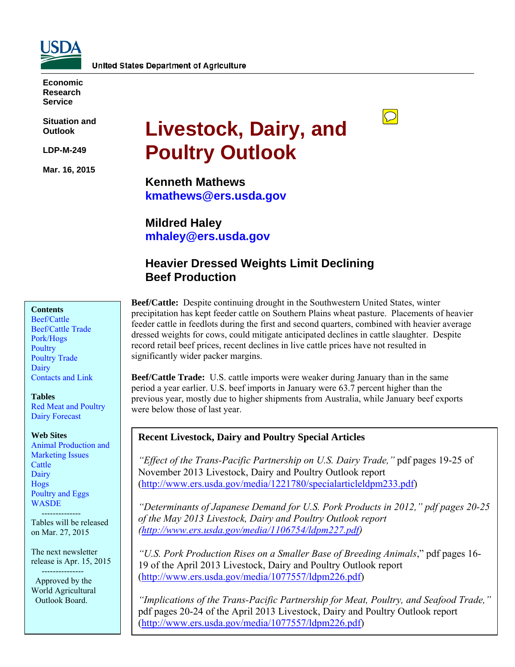

**Economic Research Service** 

**Situation and Outlook** 

**LDP-M-249** 

**Mar. 16, 2015** 

# **Livestock, Dairy, and Poultry Outlook**

**Kenneth Mathews kmathews@ers.usda.gov** 

**Mildred Haley mhaley@ers.usda.gov** 

# **Heavier Dressed Weights Limit Declining Beef Production**

#### **Contents**

[Beef/Cattle](#page-2-0)  [Beef/Cattle Trade](#page-4-0)  [Pork/Hogs](#page-5-0)  **Poultry** [Poultry Trade](#page-12-0)  [Dairy](#page-15-0)  [Contacts and Link](#page-18-0) 

#### **Tables**

[Red Meat and Poultry](#page-19-0)  [Dairy Forecast](#page-20-0) 

#### **Web Sites**

[Animal Production and](http://www.ers.usda.gov/topics/animal-products/animal-production-marketing-issues.aspx)  Marketing Issues **Cattle Dairy** [Hogs](http://www.ers.usda.gov/topics/animal-products/hogs-pork.aspx)  [Poultry and Eggs](http://www.ers.usda.gov/topics/animal-products/poultry-eggs.aspx)  **WASDE** 

 -------------- Tables will be released on Mar. 27, 2015

The next newsletter release is Apr. 15, 2015

 --------------- Approved by the World Agricultural Outlook Board.

**Beef/Cattle:** Despite continuing drought in the Southwestern United States, winter precipitation has kept feeder cattle on Southern Plains wheat pasture. Placements of heavier feeder cattle in feedlots during the first and second quarters, combined with heavier average dressed weights for cows, could mitigate anticipated declines in cattle slaughter. Despite record retail beef prices, recent declines in live cattle prices have not resulted in significantly wider packer margins.

 $\boxed{\bigcirc}$ 

**Beef/Cattle Trade:** U.S. cattle imports were weaker during January than in the same period a year earlier. U.S. beef imports in January were 63.7 percent higher than the previous year, mostly due to higher shipments from Australia, while January beef exports were below those of last year.

## **Recent Livestock, Dairy and Poultry Special Articles**

*"Effect of the Trans-Pacific Partnership on U.S. Dairy Trade,"* pdf pages 19-25 of November 2013 Livestock, Dairy and Poultry Outlook report (http://www.ers.usda.gov/media/1221780/specialarticleldpm233.pdf)

*"Determinants of Japanese Demand for U.S. Pork Products in 2012," pdf pages 20-25 of the May 2013 Livestock, Dairy and Poultry Outlook report (http://www.ers.usda.gov/media/1106754/ldpm227.pdf)* 

*"U.S. Pork Production Rises on a Smaller Base of Breeding Animals*," pdf pages 16- 19 of the April 2013 Livestock, Dairy and Poultry Outlook report (http://www.ers.usda.gov/media/1077557/ldpm226.pdf)

*"Implications of the Trans-Pacific Partnership for Meat, Poultry, and Seafood Trade,"* pdf pages 20-24 of the April 2013 Livestock, Dairy and Poultry Outlook report (http://www.ers.usda.gov/media/1077557/ldpm226.pdf)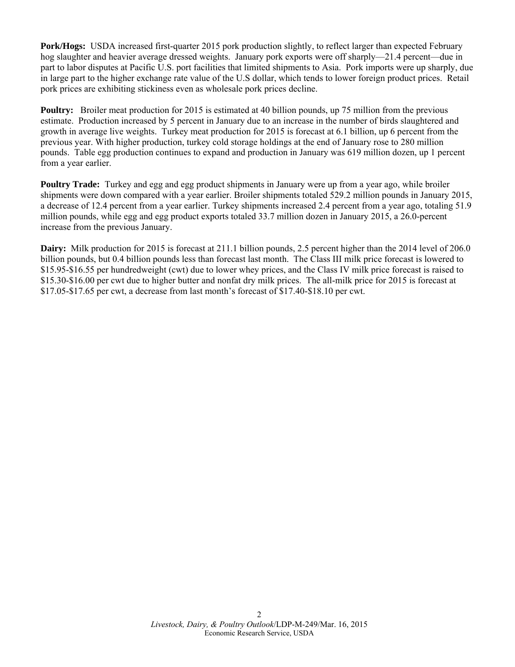**Pork/Hogs:** USDA increased first-quarter 2015 pork production slightly, to reflect larger than expected February hog slaughter and heavier average dressed weights. January pork exports were off sharply—21.4 percent—due in part to labor disputes at Pacific U.S. port facilities that limited shipments to Asia. Pork imports were up sharply, due in large part to the higher exchange rate value of the U.S dollar, which tends to lower foreign product prices. Retail pork prices are exhibiting stickiness even as wholesale pork prices decline.

**Poultry:** Broiler meat production for 2015 is estimated at 40 billion pounds, up 75 million from the previous estimate. Production increased by 5 percent in January due to an increase in the number of birds slaughtered and growth in average live weights. Turkey meat production for 2015 is forecast at 6.1 billion, up 6 percent from the previous year. With higher production, turkey cold storage holdings at the end of January rose to 280 million pounds. Table egg production continues to expand and production in January was 619 million dozen, up 1 percent from a year earlier.

**Poultry Trade:** Turkey and egg and egg product shipments in January were up from a year ago, while broiler shipments were down compared with a year earlier. Broiler shipments totaled 529.2 million pounds in January 2015, a decrease of 12.4 percent from a year earlier. Turkey shipments increased 2.4 percent from a year ago, totaling 51.9 million pounds, while egg and egg product exports totaled 33.7 million dozen in January 2015, a 26.0-percent increase from the previous January.

**Dairy:** Milk production for 2015 is forecast at 211.1 billion pounds, 2.5 percent higher than the 2014 level of 206.0 billion pounds, but 0.4 billion pounds less than forecast last month. The Class III milk price forecast is lowered to \$15.95-\$16.55 per hundredweight (cwt) due to lower whey prices, and the Class IV milk price forecast is raised to \$15.30-\$16.00 per cwt due to higher butter and nonfat dry milk prices. The all-milk price for 2015 is forecast at \$17.05-\$17.65 per cwt, a decrease from last month's forecast of \$17.40-\$18.10 per cwt.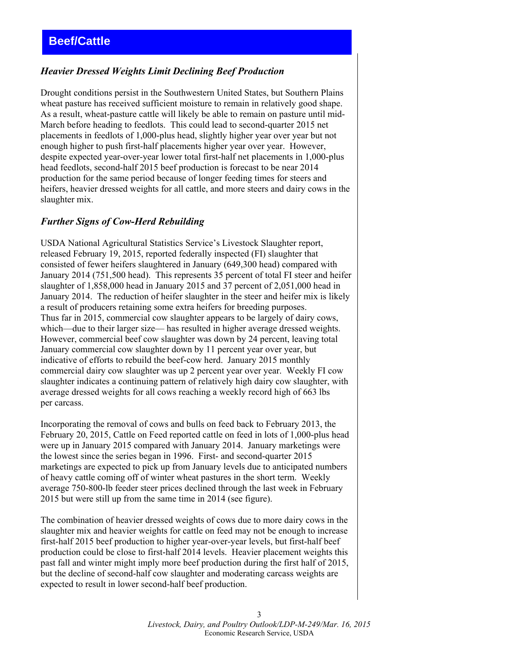## <span id="page-2-0"></span>*Heavier Dressed Weights Limit Declining Beef Production*

Drought conditions persist in the Southwestern United States, but Southern Plains wheat pasture has received sufficient moisture to remain in relatively good shape. As a result, wheat-pasture cattle will likely be able to remain on pasture until mid-March before heading to feedlots. This could lead to second-quarter 2015 net placements in feedlots of 1,000-plus head, slightly higher year over year but not enough higher to push first-half placements higher year over year. However, despite expected year-over-year lower total first-half net placements in 1,000-plus head feedlots, second-half 2015 beef production is forecast to be near 2014 production for the same period because of longer feeding times for steers and heifers, heavier dressed weights for all cattle, and more steers and dairy cows in the slaughter mix.

#### *Further Signs of Cow-Herd Rebuilding*

USDA National Agricultural Statistics Service's Livestock Slaughter report, released February 19, 2015, reported federally inspected (FI) slaughter that consisted of fewer heifers slaughtered in January (649,300 head) compared with January 2014 (751,500 head). This represents 35 percent of total FI steer and heifer slaughter of 1,858,000 head in January 2015 and 37 percent of 2,051,000 head in January 2014. The reduction of heifer slaughter in the steer and heifer mix is likely a result of producers retaining some extra heifers for breeding purposes. Thus far in 2015, commercial cow slaughter appears to be largely of dairy cows, which—due to their larger size— has resulted in higher average dressed weights. However, commercial beef cow slaughter was down by 24 percent, leaving total January commercial cow slaughter down by 11 percent year over year, but indicative of efforts to rebuild the beef-cow herd. January 2015 monthly commercial dairy cow slaughter was up 2 percent year over year. Weekly FI cow slaughter indicates a continuing pattern of relatively high dairy cow slaughter, with average dressed weights for all cows reaching a weekly record high of 663 lbs per carcass.

Incorporating the removal of cows and bulls on feed back to February 2013, the February 20, 2015, Cattle on Feed reported cattle on feed in lots of 1,000-plus head were up in January 2015 compared with January 2014. January marketings were the lowest since the series began in 1996. First- and second-quarter 2015 marketings are expected to pick up from January levels due to anticipated numbers of heavy cattle coming off of winter wheat pastures in the short term. Weekly average 750-800-lb feeder steer prices declined through the last week in February 2015 but were still up from the same time in 2014 (see figure).

The combination of heavier dressed weights of cows due to more dairy cows in the slaughter mix and heavier weights for cattle on feed may not be enough to increase first-half 2015 beef production to higher year-over-year levels, but first-half beef production could be close to first-half 2014 levels. Heavier placement weights this past fall and winter might imply more beef production during the first half of 2015, but the decline of second-half cow slaughter and moderating carcass weights are expected to result in lower second-half beef production.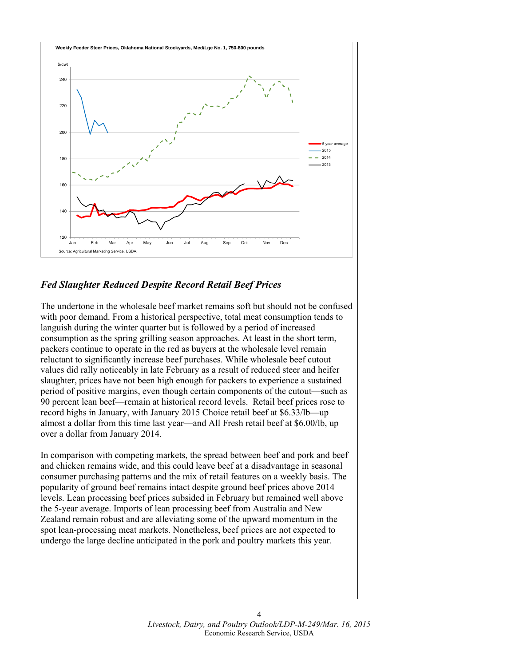

## *Fed Slaughter Reduced Despite Record Retail Beef Prices*

The undertone in the wholesale beef market remains soft but should not be confused with poor demand. From a historical perspective, total meat consumption tends to languish during the winter quarter but is followed by a period of increased consumption as the spring grilling season approaches. At least in the short term, packers continue to operate in the red as buyers at the wholesale level remain reluctant to significantly increase beef purchases. While wholesale beef cutout values did rally noticeably in late February as a result of reduced steer and heifer slaughter, prices have not been high enough for packers to experience a sustained period of positive margins, even though certain components of the cutout—such as 90 percent lean beef—remain at historical record levels. Retail beef prices rose to record highs in January, with January 2015 Choice retail beef at \$6.33/lb—up almost a dollar from this time last year—and All Fresh retail beef at \$6.00/lb, up over a dollar from January 2014.

In comparison with competing markets, the spread between beef and pork and beef and chicken remains wide, and this could leave beef at a disadvantage in seasonal consumer purchasing patterns and the mix of retail features on a weekly basis. The popularity of ground beef remains intact despite ground beef prices above 2014 levels. Lean processing beef prices subsided in February but remained well above the 5-year average. Imports of lean processing beef from Australia and New Zealand remain robust and are alleviating some of the upward momentum in the spot lean-processing meat markets. Nonetheless, beef prices are not expected to undergo the large decline anticipated in the pork and poultry markets this year.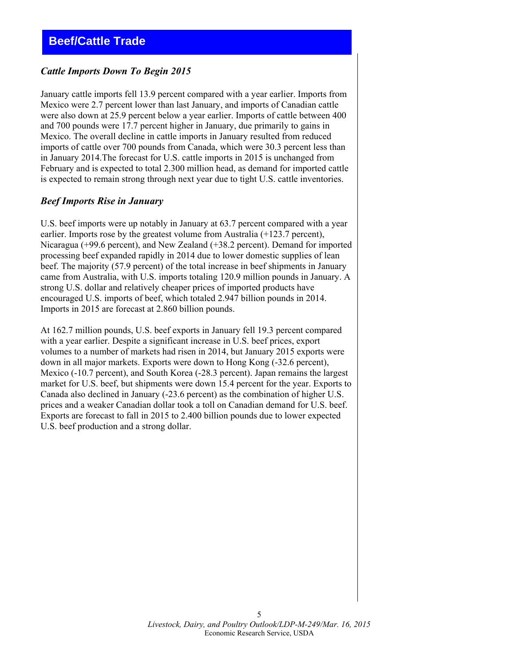## <span id="page-4-0"></span>*Cattle Imports Down To Begin 2015*

January cattle imports fell 13.9 percent compared with a year earlier. Imports from Mexico were 2.7 percent lower than last January, and imports of Canadian cattle were also down at 25.9 percent below a year earlier. Imports of cattle between 400 and 700 pounds were 17.7 percent higher in January, due primarily to gains in Mexico. The overall decline in cattle imports in January resulted from reduced imports of cattle over 700 pounds from Canada, which were 30.3 percent less than in January 2014.The forecast for U.S. cattle imports in 2015 is unchanged from February and is expected to total 2.300 million head, as demand for imported cattle is expected to remain strong through next year due to tight U.S. cattle inventories.

#### *Beef Imports Rise in January*

U.S. beef imports were up notably in January at 63.7 percent compared with a year earlier. Imports rose by the greatest volume from Australia (+123.7 percent), Nicaragua (+99.6 percent), and New Zealand (+38.2 percent). Demand for imported processing beef expanded rapidly in 2014 due to lower domestic supplies of lean beef. The majority (57.9 percent) of the total increase in beef shipments in January came from Australia, with U.S. imports totaling 120.9 million pounds in January. A strong U.S. dollar and relatively cheaper prices of imported products have encouraged U.S. imports of beef, which totaled 2.947 billion pounds in 2014. Imports in 2015 are forecast at 2.860 billion pounds.

At 162.7 million pounds, U.S. beef exports in January fell 19.3 percent compared with a year earlier. Despite a significant increase in U.S. beef prices, export volumes to a number of markets had risen in 2014, but January 2015 exports were down in all major markets. Exports were down to Hong Kong (-32.6 percent), Mexico (-10.7 percent), and South Korea (-28.3 percent). Japan remains the largest market for U.S. beef, but shipments were down 15.4 percent for the year. Exports to Canada also declined in January (-23.6 percent) as the combination of higher U.S. prices and a weaker Canadian dollar took a toll on Canadian demand for U.S. beef. Exports are forecast to fall in 2015 to 2.400 billion pounds due to lower expected U.S. beef production and a strong dollar.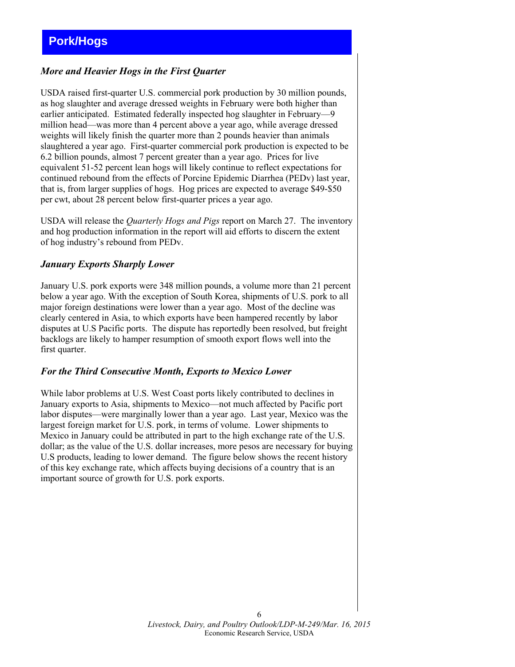# <span id="page-5-0"></span>**Pork/Hogs**

## *More and Heavier Hogs in the First Quarter*

USDA raised first-quarter U.S. commercial pork production by 30 million pounds, as hog slaughter and average dressed weights in February were both higher than earlier anticipated. Estimated federally inspected hog slaughter in February—9 million head—was more than 4 percent above a year ago, while average dressed weights will likely finish the quarter more than 2 pounds heavier than animals slaughtered a year ago. First-quarter commercial pork production is expected to be 6.2 billion pounds, almost 7 percent greater than a year ago. Prices for live equivalent 51-52 percent lean hogs will likely continue to reflect expectations for continued rebound from the effects of Porcine Epidemic Diarrhea (PEDv) last year, that is, from larger supplies of hogs. Hog prices are expected to average \$49-\$50 per cwt, about 28 percent below first-quarter prices a year ago.

USDA will release the *Quarterly Hogs and Pigs* report on March 27. The inventory and hog production information in the report will aid efforts to discern the extent of hog industry's rebound from PEDv.

#### *January Exports Sharply Lower*

January U.S. pork exports were 348 million pounds, a volume more than 21 percent below a year ago. With the exception of South Korea, shipments of U.S. pork to all major foreign destinations were lower than a year ago. Most of the decline was clearly centered in Asia, to which exports have been hampered recently by labor disputes at U.S Pacific ports. The dispute has reportedly been resolved, but freight backlogs are likely to hamper resumption of smooth export flows well into the first quarter.

#### *For the Third Consecutive Month, Exports to Mexico Lower*

While labor problems at U.S. West Coast ports likely contributed to declines in January exports to Asia, shipments to Mexico—not much affected by Pacific port labor disputes—were marginally lower than a year ago. Last year, Mexico was the largest foreign market for U.S. pork, in terms of volume. Lower shipments to Mexico in January could be attributed in part to the high exchange rate of the U.S. dollar; as the value of the U.S. dollar increases, more pesos are necessary for buying U.S products, leading to lower demand. The figure below shows the recent history of this key exchange rate, which affects buying decisions of a country that is an important source of growth for U.S. pork exports.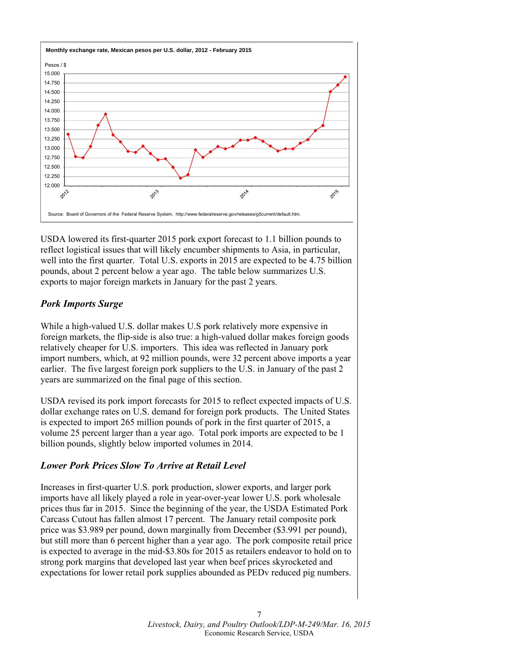

USDA lowered its first-quarter 2015 pork export forecast to 1.1 billion pounds to reflect logistical issues that will likely encumber shipments to Asia, in particular, well into the first quarter. Total U.S. exports in 2015 are expected to be 4.75 billion pounds, about 2 percent below a year ago. The table below summarizes U.S. exports to major foreign markets in January for the past 2 years.

## *Pork Imports Surge*

While a high-valued U.S. dollar makes U.S pork relatively more expensive in foreign markets, the flip-side is also true: a high-valued dollar makes foreign goods relatively cheaper for U.S. importers. This idea was reflected in January pork import numbers, which, at 92 million pounds, were 32 percent above imports a year earlier. The five largest foreign pork suppliers to the U.S. in January of the past 2 years are summarized on the final page of this section.

USDA revised its pork import forecasts for 2015 to reflect expected impacts of U.S. dollar exchange rates on U.S. demand for foreign pork products. The United States is expected to import 265 million pounds of pork in the first quarter of 2015, a volume 25 percent larger than a year ago. Total pork imports are expected to be 1 billion pounds, slightly below imported volumes in 2014.

## *Lower Pork Prices Slow To Arrive at Retail Level*

Increases in first-quarter U.S. pork production, slower exports, and larger pork imports have all likely played a role in year-over-year lower U.S. pork wholesale prices thus far in 2015. Since the beginning of the year, the USDA Estimated Pork Carcass Cutout has fallen almost 17 percent. The January retail composite pork price was \$3.989 per pound, down marginally from December (\$3.991 per pound), but still more than 6 percent higher than a year ago. The pork composite retail price is expected to average in the mid-\$3.80s for 2015 as retailers endeavor to hold on to strong pork margins that developed last year when beef prices skyrocketed and expectations for lower retail pork supplies abounded as PEDv reduced pig numbers.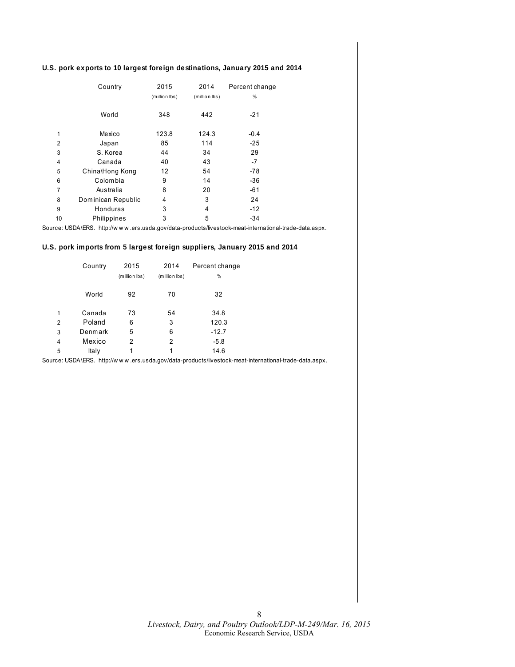#### **U.S. pork exports to 10 largest foreign destinations, January 2015 and 2014**

|    | Country            | 2015          | 2014          | Percent change |
|----|--------------------|---------------|---------------|----------------|
|    |                    | (million lbs) | (million lbs) | %              |
|    | World              | 348           | 442           | $-21$          |
| 1  | Mexico             | 123.8         | 124.3         | $-0.4$         |
| 2  | Japan              | 85            | 114           | $-25$          |
| 3  | S. Korea           | 44            | 34            | 29             |
| 4  | Canada             | 40            | 43            | -7             |
| 5  | China\Hong Kong    | 12            | 54            | $-78$          |
| 6  | Colombia           | 9             | 14            | $-36$          |
| 7  | Australia          | 8             | 20            | $-61$          |
| 8  | Dominican Republic | 4             | 3             | 24             |
| 9  | Honduras           | 3             | 4             | $-12$          |
| 10 | Philippines        | 3             | 5             | $-34$          |

Source: USDA\ERS. http://w w w .ers.usda.gov/data-products/livestock-meat-international-trade-data.aspx.

#### **U.S. pork imports from 5 largest foreign suppliers, January 2015 and 2014**

|   | Country | 2015          | 2014          | Percent change |
|---|---------|---------------|---------------|----------------|
|   |         | (million lbs) | (million lbs) | %              |
|   |         |               |               |                |
|   | World   | 92            | 70            | 32             |
|   |         |               |               |                |
| 1 | Canada  | 73            | 54            | 34.8           |
| 2 | Poland  | 6             | 3             | 120.3          |
| 3 | Denmark | 5             | 6             | $-12.7$        |
| 4 | Mexico  | 2             | 2             | $-5.8$         |
| 5 | Italy   | 1             | 1             | 14.6           |

Source: USDA\ERS. http://w w w .ers.usda.gov/data-products/livestock-meat-international-trade-data.aspx.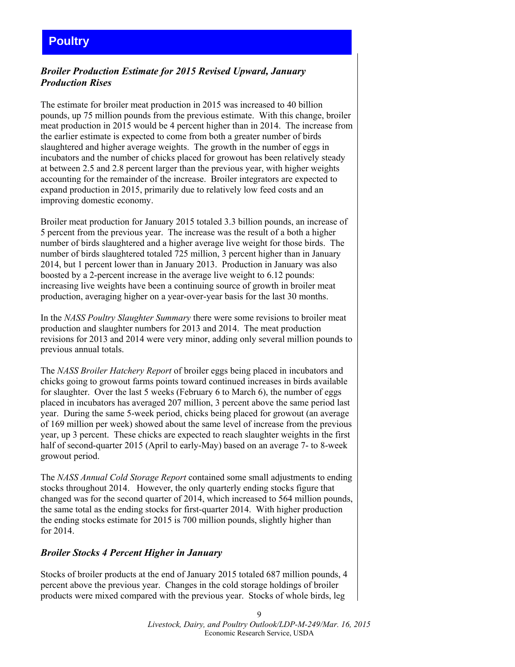# <span id="page-8-0"></span>**Poultry**

## *Broiler Production Estimate for 2015 Revised Upward, January Production Rises*

The estimate for broiler meat production in 2015 was increased to 40 billion pounds, up 75 million pounds from the previous estimate. With this change, broiler meat production in 2015 would be 4 percent higher than in 2014. The increase from the earlier estimate is expected to come from both a greater number of birds slaughtered and higher average weights. The growth in the number of eggs in incubators and the number of chicks placed for growout has been relatively steady at between 2.5 and 2.8 percent larger than the previous year, with higher weights accounting for the remainder of the increase. Broiler integrators are expected to expand production in 2015, primarily due to relatively low feed costs and an improving domestic economy.

Broiler meat production for January 2015 totaled 3.3 billion pounds, an increase of 5 percent from the previous year. The increase was the result of a both a higher number of birds slaughtered and a higher average live weight for those birds. The number of birds slaughtered totaled 725 million, 3 percent higher than in January 2014, but 1 percent lower than in January 2013. Production in January was also boosted by a 2-percent increase in the average live weight to 6.12 pounds: increasing live weights have been a continuing source of growth in broiler meat production, averaging higher on a year-over-year basis for the last 30 months.

In the *NASS Poultry Slaughter Summary* there were some revisions to broiler meat production and slaughter numbers for 2013 and 2014. The meat production revisions for 2013 and 2014 were very minor, adding only several million pounds to previous annual totals.

The *NASS Broiler Hatchery Report* of broiler eggs being placed in incubators and chicks going to growout farms points toward continued increases in birds available for slaughter. Over the last 5 weeks (February 6 to March 6), the number of eggs placed in incubators has averaged 207 million, 3 percent above the same period last year. During the same 5-week period, chicks being placed for growout (an average of 169 million per week) showed about the same level of increase from the previous year, up 3 percent. These chicks are expected to reach slaughter weights in the first half of second-quarter 2015 (April to early-May) based on an average 7- to 8-week growout period.

The *NASS Annual Cold Storage Report* contained some small adjustments to ending stocks throughout 2014. However, the only quarterly ending stocks figure that changed was for the second quarter of 2014, which increased to 564 million pounds, the same total as the ending stocks for first-quarter 2014. With higher production the ending stocks estimate for 2015 is 700 million pounds, slightly higher than for 2014.

#### *Broiler Stocks 4 Percent Higher in January*

Stocks of broiler products at the end of January 2015 totaled 687 million pounds, 4 percent above the previous year. Changes in the cold storage holdings of broiler products were mixed compared with the previous year. Stocks of whole birds, leg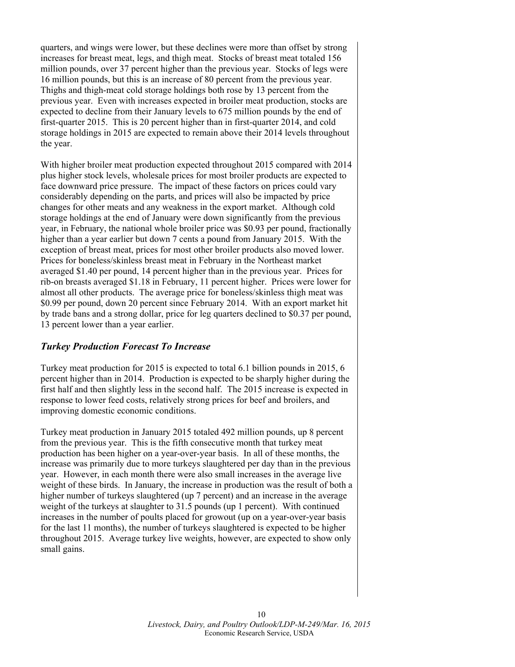quarters, and wings were lower, but these declines were more than offset by strong increases for breast meat, legs, and thigh meat. Stocks of breast meat totaled 156 million pounds, over 37 percent higher than the previous year. Stocks of legs were 16 million pounds, but this is an increase of 80 percent from the previous year. Thighs and thigh-meat cold storage holdings both rose by 13 percent from the previous year. Even with increases expected in broiler meat production, stocks are expected to decline from their January levels to 675 million pounds by the end of first-quarter 2015. This is 20 percent higher than in first-quarter 2014, and cold storage holdings in 2015 are expected to remain above their 2014 levels throughout the year.

With higher broiler meat production expected throughout 2015 compared with 2014 plus higher stock levels, wholesale prices for most broiler products are expected to face downward price pressure. The impact of these factors on prices could vary considerably depending on the parts, and prices will also be impacted by price changes for other meats and any weakness in the export market. Although cold storage holdings at the end of January were down significantly from the previous year, in February, the national whole broiler price was \$0.93 per pound, fractionally higher than a year earlier but down 7 cents a pound from January 2015. With the exception of breast meat, prices for most other broiler products also moved lower. Prices for boneless/skinless breast meat in February in the Northeast market averaged \$1.40 per pound, 14 percent higher than in the previous year. Prices for rib-on breasts averaged \$1.18 in February, 11 percent higher. Prices were lower for almost all other products. The average price for boneless/skinless thigh meat was \$0.99 per pound, down 20 percent since February 2014. With an export market hit by trade bans and a strong dollar, price for leg quarters declined to \$0.37 per pound, 13 percent lower than a year earlier.

#### *Turkey Production Forecast To Increase*

Turkey meat production for 2015 is expected to total 6.1 billion pounds in 2015, 6 percent higher than in 2014. Production is expected to be sharply higher during the first half and then slightly less in the second half. The 2015 increase is expected in response to lower feed costs, relatively strong prices for beef and broilers, and improving domestic economic conditions.

Turkey meat production in January 2015 totaled 492 million pounds, up 8 percent from the previous year. This is the fifth consecutive month that turkey meat production has been higher on a year-over-year basis. In all of these months, the increase was primarily due to more turkeys slaughtered per day than in the previous year. However, in each month there were also small increases in the average live weight of these birds. In January, the increase in production was the result of both a higher number of turkeys slaughtered (up 7 percent) and an increase in the average weight of the turkeys at slaughter to 31.5 pounds (up 1 percent). With continued increases in the number of poults placed for growout (up on a year-over-year basis for the last 11 months), the number of turkeys slaughtered is expected to be higher throughout 2015. Average turkey live weights, however, are expected to show only small gains.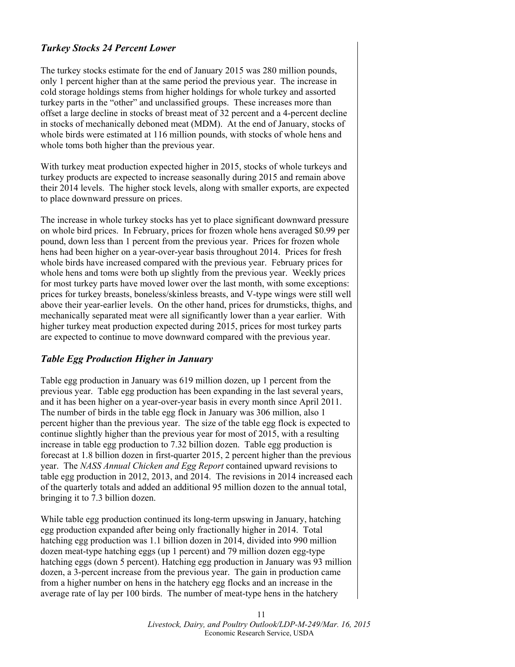## *Turkey Stocks 24 Percent Lower*

The turkey stocks estimate for the end of January 2015 was 280 million pounds, only 1 percent higher than at the same period the previous year. The increase in cold storage holdings stems from higher holdings for whole turkey and assorted turkey parts in the "other" and unclassified groups. These increases more than offset a large decline in stocks of breast meat of 32 percent and a 4-percent decline in stocks of mechanically deboned meat (MDM). At the end of January, stocks of whole birds were estimated at 116 million pounds, with stocks of whole hens and whole toms both higher than the previous year.

With turkey meat production expected higher in 2015, stocks of whole turkeys and turkey products are expected to increase seasonally during 2015 and remain above their 2014 levels. The higher stock levels, along with smaller exports, are expected to place downward pressure on prices.

The increase in whole turkey stocks has yet to place significant downward pressure on whole bird prices. In February, prices for frozen whole hens averaged \$0.99 per pound, down less than 1 percent from the previous year. Prices for frozen whole hens had been higher on a year-over-year basis throughout 2014. Prices for fresh whole birds have increased compared with the previous year. February prices for whole hens and toms were both up slightly from the previous year. Weekly prices for most turkey parts have moved lower over the last month, with some exceptions: prices for turkey breasts, boneless/skinless breasts, and V-type wings were still well above their year-earlier levels. On the other hand, prices for drumsticks, thighs, and mechanically separated meat were all significantly lower than a year earlier. With higher turkey meat production expected during 2015, prices for most turkey parts are expected to continue to move downward compared with the previous year.

#### *Table Egg Production Higher in January*

Table egg production in January was 619 million dozen, up 1 percent from the previous year. Table egg production has been expanding in the last several years, and it has been higher on a year-over-year basis in every month since April 2011. The number of birds in the table egg flock in January was 306 million, also 1 percent higher than the previous year. The size of the table egg flock is expected to continue slightly higher than the previous year for most of 2015, with a resulting increase in table egg production to 7.32 billion dozen. Table egg production is forecast at 1.8 billion dozen in first-quarter 2015, 2 percent higher than the previous year. The *NASS Annual Chicken and Egg Report* contained upward revisions to table egg production in 2012, 2013, and 2014. The revisions in 2014 increased each of the quarterly totals and added an additional 95 million dozen to the annual total, bringing it to 7.3 billion dozen.

While table egg production continued its long-term upswing in January, hatching egg production expanded after being only fractionally higher in 2014. Total hatching egg production was 1.1 billion dozen in 2014, divided into 990 million dozen meat-type hatching eggs (up 1 percent) and 79 million dozen egg-type hatching eggs (down 5 percent). Hatching egg production in January was 93 million dozen, a 3-percent increase from the previous year. The gain in production came from a higher number on hens in the hatchery egg flocks and an increase in the average rate of lay per 100 birds. The number of meat-type hens in the hatchery

> 11 *Livestock, Dairy, and Poultry Outlook/LDP-M-249/Mar. 16, 2015*  Economic Research Service, USDA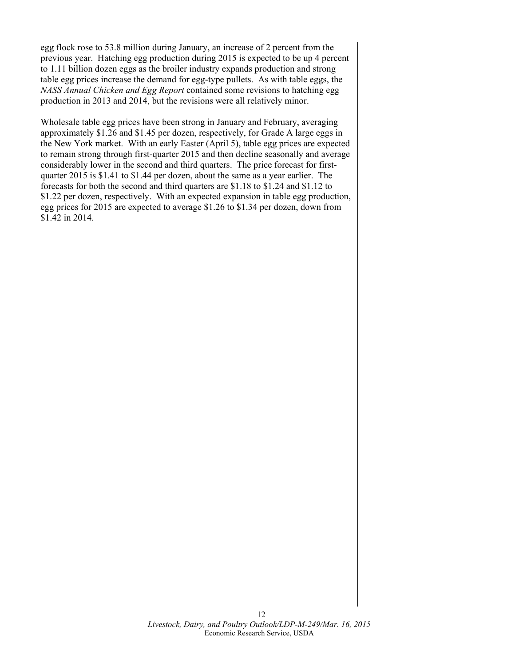egg flock rose to 53.8 million during January, an increase of 2 percent from the previous year. Hatching egg production during 2015 is expected to be up 4 percent to 1.11 billion dozen eggs as the broiler industry expands production and strong table egg prices increase the demand for egg-type pullets. As with table eggs, the *NASS Annual Chicken and Egg Report* contained some revisions to hatching egg production in 2013 and 2014, but the revisions were all relatively minor.

Wholesale table egg prices have been strong in January and February, averaging approximately \$1.26 and \$1.45 per dozen, respectively, for Grade A large eggs in the New York market. With an early Easter (April 5), table egg prices are expected to remain strong through first-quarter 2015 and then decline seasonally and average considerably lower in the second and third quarters. The price forecast for firstquarter 2015 is \$1.41 to \$1.44 per dozen, about the same as a year earlier. The forecasts for both the second and third quarters are \$1.18 to \$1.24 and \$1.12 to \$1.22 per dozen, respectively. With an expected expansion in table egg production, egg prices for 2015 are expected to average \$1.26 to \$1.34 per dozen, down from \$1.42 in 2014.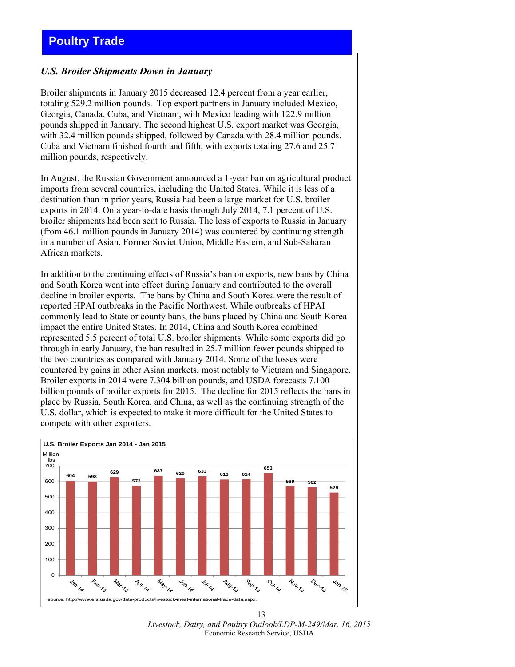# <span id="page-12-0"></span>**Poultry Trade**

#### *U.S. Broiler Shipments Down in January*

Broiler shipments in January 2015 decreased 12.4 percent from a year earlier, totaling 529.2 million pounds. Top export partners in January included Mexico, Georgia, Canada, Cuba, and Vietnam, with Mexico leading with 122.9 million pounds shipped in January. The second highest U.S. export market was Georgia, with 32.4 million pounds shipped, followed by Canada with 28.4 million pounds. Cuba and Vietnam finished fourth and fifth, with exports totaling 27.6 and 25.7 million pounds, respectively.

In August, the Russian Government announced a 1-year ban on agricultural product imports from several countries, including the United States. While it is less of a destination than in prior years, Russia had been a large market for U.S. broiler exports in 2014. On a year-to-date basis through July 2014, 7.1 percent of U.S. broiler shipments had been sent to Russia. The loss of exports to Russia in January (from 46.1 million pounds in January 2014) was countered by continuing strength in a number of Asian, Former Soviet Union, Middle Eastern, and Sub-Saharan African markets.

In addition to the continuing effects of Russia's ban on exports, new bans by China and South Korea went into effect during January and contributed to the overall decline in broiler exports. The bans by China and South Korea were the result of reported HPAI outbreaks in the Pacific Northwest. While outbreaks of HPAI commonly lead to State or county bans, the bans placed by China and South Korea impact the entire United States. In 2014, China and South Korea combined represented 5.5 percent of total U.S. broiler shipments. While some exports did go through in early January, the ban resulted in 25.7 million fewer pounds shipped to the two countries as compared with January 2014. Some of the losses were countered by gains in other Asian markets, most notably to Vietnam and Singapore. Broiler exports in 2014 were 7.304 billion pounds, and USDA forecasts 7.100 billion pounds of broiler exports for 2015. The decline for 2015 reflects the bans in place by Russia, South Korea, and China, as well as the continuing strength of the U.S. dollar, which is expected to make it more difficult for the United States to compete with other exporters.



*Livestock, Dairy, and Poultry Outlook/LDP-M-249/Mar. 16, 2015*  Economic Research Service, USDA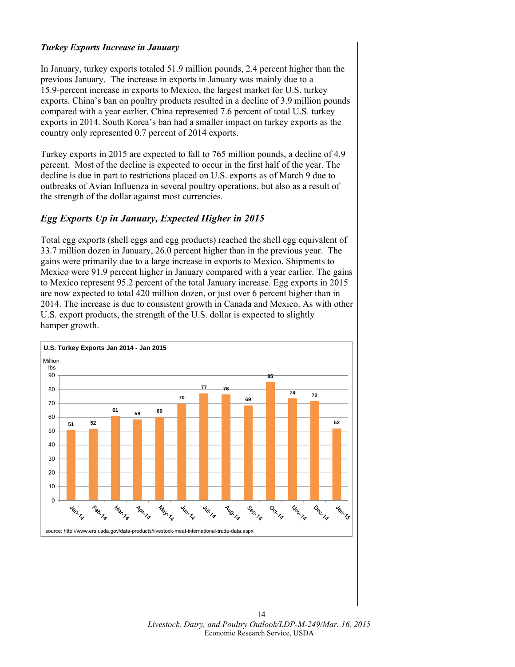#### *Turkey Exports Increase in January*

In January, turkey exports totaled 51.9 million pounds, 2.4 percent higher than the previous January. The increase in exports in January was mainly due to a 15.9-percent increase in exports to Mexico, the largest market for U.S. turkey exports. China's ban on poultry products resulted in a decline of 3.9 million pounds compared with a year earlier. China represented 7.6 percent of total U.S. turkey exports in 2014. South Korea's ban had a smaller impact on turkey exports as the country only represented 0.7 percent of 2014 exports.

Turkey exports in 2015 are expected to fall to 765 million pounds, a decline of 4.9 percent. Most of the decline is expected to occur in the first half of the year. The decline is due in part to restrictions placed on U.S. exports as of March 9 due to outbreaks of Avian Influenza in several poultry operations, but also as a result of the strength of the dollar against most currencies.

## *Egg Exports Up in January, Expected Higher in 2015*

Total egg exports (shell eggs and egg products) reached the shell egg equivalent of 33.7 million dozen in January, 26.0 percent higher than in the previous year. The gains were primarily due to a large increase in exports to Mexico. Shipments to Mexico were 91.9 percent higher in January compared with a year earlier. The gains to Mexico represent 95.2 percent of the total January increase. Egg exports in 2015 are now expected to total 420 million dozen, or just over 6 percent higher than in 2014. The increase is due to consistent growth in Canada and Mexico. As with other U.S. export products, the strength of the U.S. dollar is expected to slightly hamper growth.

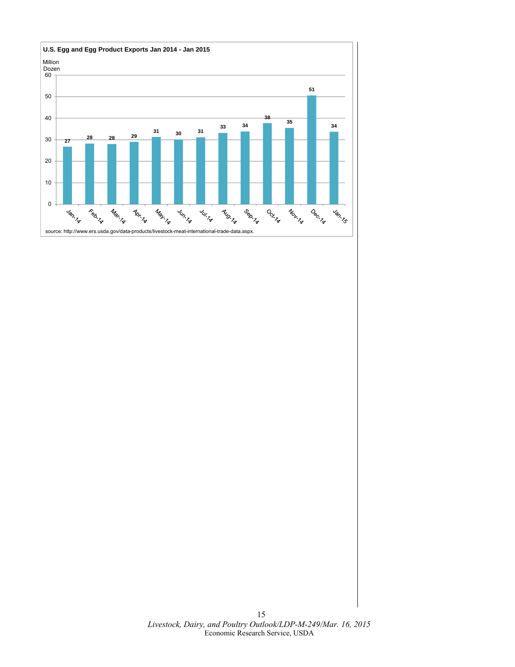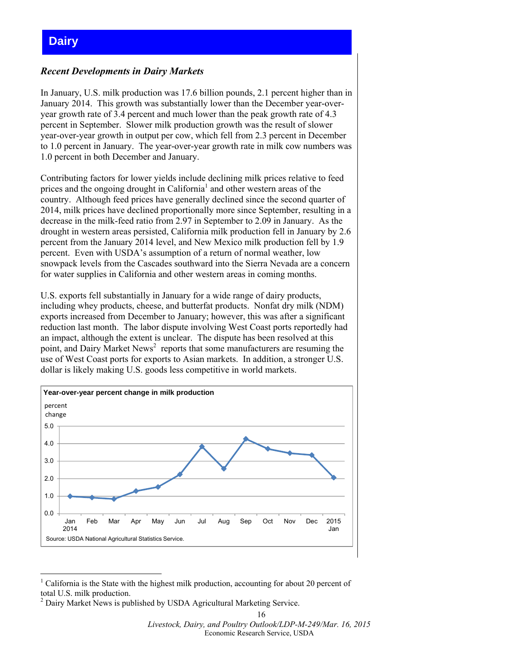## <span id="page-15-0"></span>**Dairy**

## *Recent Developments in Dairy Markets*

In January, U.S. milk production was 17.6 billion pounds, 2.1 percent higher than in January 2014. This growth was substantially lower than the December year-overyear growth rate of 3.4 percent and much lower than the peak growth rate of 4.3 percent in September. Slower milk production growth was the result of slower year-over-year growth in output per cow, which fell from 2.3 percent in December to 1.0 percent in January. The year-over-year growth rate in milk cow numbers was 1.0 percent in both December and January.

Contributing factors for lower yields include declining milk prices relative to feed prices and the ongoing drought in California<sup>1</sup> and other western areas of the country. Although feed prices have generally declined since the second quarter of 2014, milk prices have declined proportionally more since September, resulting in a decrease in the milk-feed ratio from 2.97 in September to 2.09 in January. As the drought in western areas persisted, California milk production fell in January by 2.6 percent from the January 2014 level, and New Mexico milk production fell by 1.9 percent. Even with USDA's assumption of a return of normal weather, low snowpack levels from the Cascades southward into the Sierra Nevada are a concern for water supplies in California and other western areas in coming months.

U.S. exports fell substantially in January for a wide range of dairy products, including whey products, cheese, and butterfat products. Nonfat dry milk (NDM) exports increased from December to January; however, this was after a significant reduction last month. The labor dispute involving West Coast ports reportedly had an impact, although the extent is unclear. The dispute has been resolved at this point, and Dairy Market News<sup>2</sup> reports that some manufacturers are resuming the use of West Coast ports for exports to Asian markets. In addition, a stronger U.S. dollar is likely making U.S. goods less competitive in world markets.



<sup>-</sup><sup>1</sup> California is the State with the highest milk production, accounting for about 20 percent of total U.S. milk production.

 $2$  Dairy Market News is published by USDA Agricultural Marketing Service.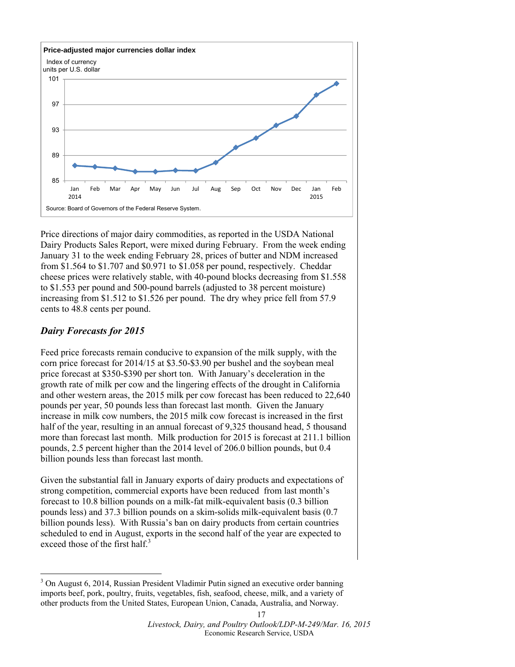

Price directions of major dairy commodities, as reported in the USDA National Dairy Products Sales Report, were mixed during February. From the week ending January 31 to the week ending February 28, prices of butter and NDM increased from \$1.564 to \$1.707 and \$0.971 to \$1.058 per pound, respectively. Cheddar cheese prices were relatively stable, with 40-pound blocks decreasing from \$1.558 to \$1.553 per pound and 500-pound barrels (adjusted to 38 percent moisture) increasing from \$1.512 to \$1.526 per pound. The dry whey price fell from 57.9 cents to 48.8 cents per pound.

## *Dairy Forecasts for 2015*

-

Feed price forecasts remain conducive to expansion of the milk supply, with the corn price forecast for 2014/15 at \$3.50-\$3.90 per bushel and the soybean meal price forecast at \$350-\$390 per short ton. With January's deceleration in the growth rate of milk per cow and the lingering effects of the drought in California and other western areas, the 2015 milk per cow forecast has been reduced to 22,640 pounds per year, 50 pounds less than forecast last month. Given the January increase in milk cow numbers, the 2015 milk cow forecast is increased in the first half of the year, resulting in an annual forecast of 9,325 thousand head, 5 thousand more than forecast last month. Milk production for 2015 is forecast at 211.1 billion pounds, 2.5 percent higher than the 2014 level of 206.0 billion pounds, but 0.4 billion pounds less than forecast last month.

Given the substantial fall in January exports of dairy products and expectations of strong competition, commercial exports have been reduced from last month's forecast to 10.8 billion pounds on a milk-fat milk-equivalent basis (0.3 billion pounds less) and 37.3 billion pounds on a skim-solids milk-equivalent basis (0.7 billion pounds less). With Russia's ban on dairy products from certain countries scheduled to end in August, exports in the second half of the year are expected to exceed those of the first half. $3$ 

<sup>&</sup>lt;sup>3</sup> On August 6, 2014, Russian President Vladimir Putin signed an executive order banning imports beef, pork, poultry, fruits, vegetables, fish, seafood, cheese, milk, and a variety of other products from the United States, European Union, Canada, Australia, and Norway.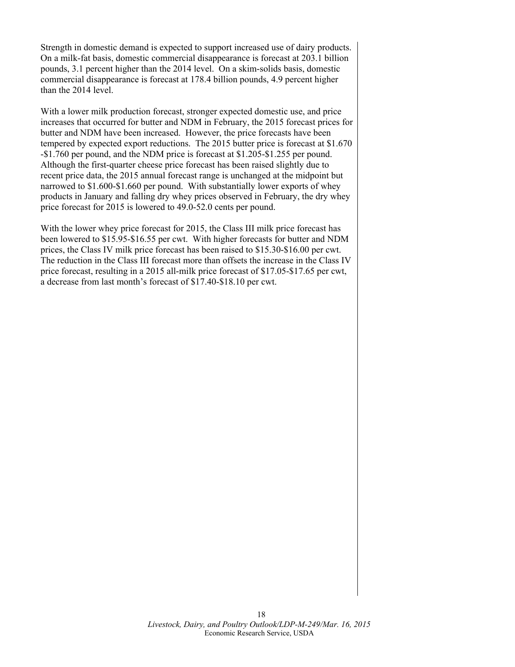Strength in domestic demand is expected to support increased use of dairy products. On a milk-fat basis, domestic commercial disappearance is forecast at 203.1 billion pounds, 3.1 percent higher than the 2014 level. On a skim-solids basis, domestic commercial disappearance is forecast at 178.4 billion pounds, 4.9 percent higher than the 2014 level.

With a lower milk production forecast, stronger expected domestic use, and price increases that occurred for butter and NDM in February, the 2015 forecast prices for butter and NDM have been increased. However, the price forecasts have been tempered by expected export reductions. The 2015 butter price is forecast at \$1.670 -\$1.760 per pound, and the NDM price is forecast at \$1.205-\$1.255 per pound. Although the first-quarter cheese price forecast has been raised slightly due to recent price data, the 2015 annual forecast range is unchanged at the midpoint but narrowed to \$1.600-\$1.660 per pound. With substantially lower exports of whey products in January and falling dry whey prices observed in February, the dry whey price forecast for 2015 is lowered to 49.0-52.0 cents per pound.

With the lower whey price forecast for 2015, the Class III milk price forecast has been lowered to \$15.95-\$16.55 per cwt. With higher forecasts for butter and NDM prices, the Class IV milk price forecast has been raised to \$15.30-\$16.00 per cwt. The reduction in the Class III forecast more than offsets the increase in the Class IV price forecast, resulting in a 2015 all-milk price forecast of \$17.05-\$17.65 per cwt, a decrease from last month's forecast of \$17.40-\$18.10 per cwt.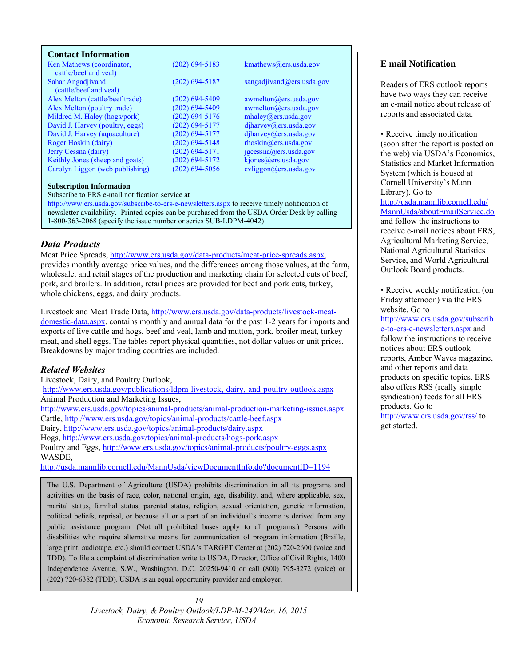#### <span id="page-18-0"></span>**Contact Information**

| Ken Mathews (coordinator,<br>cattle/beef and yeal) | $(202)$ 694-5183   | kmathews@ers.usda.gov                |
|----------------------------------------------------|--------------------|--------------------------------------|
| Sahar Angadjivand                                  | $(202)$ 694-5187   | sangadjivand@ers.usda.gov            |
| (cattle/beef and yeal)                             |                    |                                      |
| Alex Melton (cattle/beef trade)                    | $(202)$ 694-5409   | $a$ wmelton $(a)$ ers.usda.gov       |
| Alex Melton (poultry trade)                        | $(202) 694 - 5409$ | awmelton@ers.usda.gov                |
| Mildred M. Haley (hogs/pork)                       | $(202)$ 694-5176   | mhalev@ers.usda.gov                  |
| David J. Harvey (poultry, eggs)                    | $(202)$ 694-5177   | diharvey@ers.usda.gov                |
| David J. Harvey (aquaculture)                      | $(202)$ 694-5177   | diharvey@ers.usda.gov                |
| Roger Hoskin (dairy)                               | $(202)$ 694-5148   | $r \text{hosh}(\omega)$ ers.usda.gov |
| Jerry Cessna (dairy)                               | $(202)$ 694-5171   | $j$ gcessna@ers.usda.gov             |
| Keithly Jones (sheep and goats)                    | $(202)$ 694-5172   | kjones@ers.usda.gov                  |
| Carolyn Liggon (web publishing)                    | $(202)$ 694-5056   | cvliggon@ers.usda.gov                |

#### **Subscription Information**

Subscribe to ERS e-mail notification service at

http://www.ers.usda.gov/subscribe-to-ers-e-newsletters.aspx to receive timely notification of newsletter availability. Printed copies can be purchased from the USDA Order Desk by calling 1-800-363-2068 (specify the issue number or series SUB-LDPM-4042)

#### *Data Products*

Meat Price Spreads, http://www.ers.usda.gov/data-products/meat-price-spreads.aspx, provides monthly average price values, and the differences among those values, at the farm, wholesale, and retail stages of the production and marketing chain for selected cuts of beef, pork, and broilers. In addition, retail prices are provided for beef and pork cuts, turkey, whole chickens, eggs, and dairy products.

Livestock and Meat Trade Data, http://www.ers.usda.gov/data-products/livestock-meatdomestic-data.aspx, contains monthly and annual data for the past 1-2 years for imports and exports of live cattle and hogs, beef and veal, lamb and mutton, pork, broiler meat, turkey meat, and shell eggs. The tables report physical quantities, not dollar values or unit prices. Breakdowns by major trading countries are included.

#### *Related Websites*

Livestock, Dairy, and Poultry Outlook, http://www.ers.usda.gov/publications/ldpm-livestock,-dairy,-and-poultry-outlook.aspx Animal Production and Marketing Issues, http://www.ers.usda.gov/topics/animal-products/animal-production-marketing-issues.aspx Cattle, http://www.ers.usda.gov/topics/animal-products/cattle-beef.aspx Dairy, http://www.ers.usda.gov/topics/animal-products/dairy.aspx Hogs, http://www.ers.usda.gov/topics/animal-products/hogs-pork.aspx Poultry and Eggs, http://www.ers.usda.gov/topics/animal-products/poultry-eggs.aspx WASDE, http://usda.mannlib.cornell.edu/MannUsda/viewDocumentInfo.do?documentID=1194

The U.S. Department of Agriculture (USDA) prohibits discrimination in all its programs and activities on the basis of race, color, national origin, age, disability, and, where applicable, sex, marital status, familial status, parental status, religion, sexual orientation, genetic information, political beliefs, reprisal, or because all or a part of an individual's income is derived from any public assistance program. (Not all prohibited bases apply to all programs.) Persons with disabilities who require alternative means for communication of program information (Braille, large print, audiotape, etc.) should contact USDA's TARGET Center at (202) 720-2600 (voice and TDD). To file a complaint of discrimination write to USDA, Director, Office of Civil Rights, 1400 Independence Avenue, S.W., Washington, D.C. 20250-9410 or call (800) 795-3272 (voice) or (202) 720-6382 (TDD). USDA is an equal opportunity provider and employer.

> *19 Livestock, Dairy, & Poultry Outlook/LDP-M-249/Mar. 16, 2015 Economic Research Service, USDA*

#### **E mail Notification**

Readers of ERS outlook reports have two ways they can receive an e-mail notice about release of reports and associated data.

• Receive timely notification (soon after the report is posted on the web) via USDA's Economics, Statistics and Market Information System (which is housed at Cornell University's Mann Library). Go to http://usda.mannlib.cornell.edu/ MannUsda/aboutEmailService.do and follow the instructions to receive e-mail notices about ERS, Agricultural Marketing Service, National Agricultural Statistics Service, and World Agricultural Outlook Board products.

• Receive weekly notification (on Friday afternoon) via the ERS website. Go to

http://www.ers.usda.gov/subscrib e-to-ers-e-newsletters.aspx and follow the instructions to receive notices about ERS outlook reports, Amber Waves magazine, and other reports and data products on specific topics. ERS also offers RSS (really simple syndication) feeds for all ERS products. Go to http://www.ers.usda.gov/rss/ to

get started.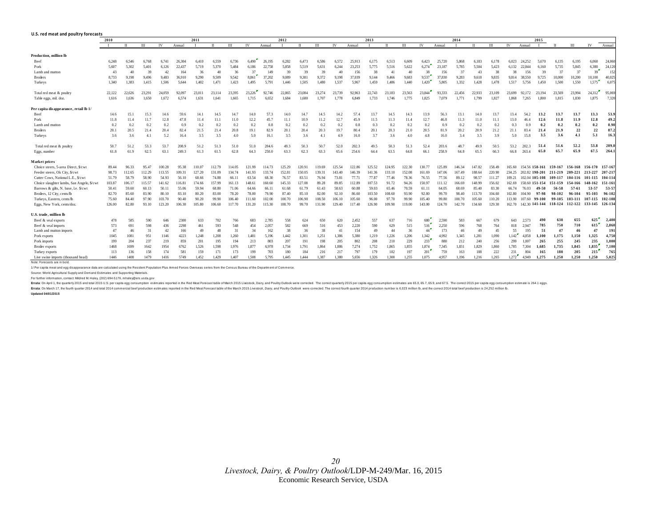<span id="page-19-0"></span>

| U.S. red meat and poultry forecasts        |              |            |        |        |        |        |              |        |        |        |        |              |        |        |        |        |             |        |        |        |        |              |        |        |                        |        |         |                         |         |         |
|--------------------------------------------|--------------|------------|--------|--------|--------|--------|--------------|--------|--------|--------|--------|--------------|--------|--------|--------|--------|-------------|--------|--------|--------|--------|--------------|--------|--------|------------------------|--------|---------|-------------------------|---------|---------|
|                                            | 2011<br>2010 |            |        |        |        |        | 2012<br>2013 |        |        |        |        |              |        |        |        | 2014   |             |        |        |        | 2015   |              |        |        |                        |        |         |                         |         |         |
|                                            |              | $_{\rm H}$ | III    | IV     | Annual |        | П            | Ш      | IV     | Annual |        | $\mathbf{H}$ | Ш      | IV     | Annual |        | $_{\rm II}$ | Ш      | IV     | Annual |        | $\mathbf{H}$ | III    | IV     | Annual                 |        |         | III                     | IV      | Annual  |
| Production, million lb                     |              |            |        |        |        |        |              |        |        |        |        |              |        |        |        |        |             |        |        |        |        |              |        |        |                        |        |         |                         |         |         |
| Beef                                       | 6.248        | 6,546      | 6.768  | 6.741  | 26.304 | 6.410  | 6,559        | 6.736  | 6.490  | 26.195 | 6.282  | 6.473        | 6,586  | 6.572  | 25.913 | 6.175  | 6.513       | 6.609  | 6,423  | 25.720 | 5.868  | 6.183        | 6.178  | 6.023  | 24.252                 | 5.670  | 6.135   | 6.195                   | 6.060   | 24,060  |
| Pork                                       | 5.607        | 5.302      | 5.401  | 6.126  | 22.437 | 5.719  | 5.370        | 5.484  | 6.186  | 22,758 | 5.858  | 5.519        | 5.631  | 6.244  | 23.253 | 5.775  | 5.516       | 5,622  | 6.274  | 23.187 | 5.785  | 5.504        | 5.423  | 6.132  | 22.844                 | 6.160  | 5.735   | 5.845                   | 6,380   | 24,120  |
| Lamb and mutton                            | 43           | 40         | 39     | 42     | 164    | 36     | 40           | 36     | 37     | 149    | 39     | 39           | 39     | 40     | 156    | 38     | 41          | 40     | 38     | 156    | 37     | 43           | 38     | 38     | 156                    | 39     | 37      | 37                      | 39      | 152     |
| <b>Broilers</b>                            | 8.733        | 9.198      | 9.496  | 9.483  | 36.910 | 9.290  | 9.509        | 9.542  | 8.861  | 37.202 | 9.089  | 9.381        | 9.372  | 9.198  | 37,039 | 9.144  | 9,466       | 9.683  | 9.537  | 37,830 | 9.283  | 9.618        | 9.835  | 9.814  | 38,550                 | 9.725  | 10,000  | 10.200                  | 10.100  | 40.025  |
| Turkeys                                    | 1,340        | 1,383      | 1.415  | 1.506  | 5.644  | 1.402  | 1,471        | 1,423  | 1.495  | 5,791  | 1,446  | 1,505        | 1.480  | 1,537  | 5.967  | 1,459  | 1.486       | 1,440  | 1,420  | 5.805  | 1,332  | 1,428        | 1.478  | 1.517  | 5.756                  | 1,450  | 1,500   | 1,550                   | 1,575   | 6.075   |
| Total red meat & poultry                   | 22,122       | 22.626     | 23,291 | 24.059 | 92.097 | 23.011 | 23.114       | 23.395 | 23,226 | 92.746 | 22.865 | 23,084       | 23,274 | 23,739 | 92.963 | 22,743 | 23.183      | 23.563 | 23,844 | 93.333 | 22,456 | 22,933       | 23,109 | 23,699 | 92.172                 | 23.194 | 23.569  | 23,994                  | 24.312  | 95,069  |
| Table eggs, mil. doz.                      | 1.616        | 1,636      | 1,650  | 1.672  | 6,574  | 1.631  | 1,641        | 1.665  | 1.715  | 6.652  | 1.684  | 1,680        | 1.707  | 1.778  | 6.849  | 1.733  | 1.746       | 1.775  | 1.825  | 7.079  | 1,771  | 1.799        | 1.827  | 1.868  | 7.265                  | 1.800  | 1.815   | 1,830                   | 1.875   | 7.320   |
| Per capita disappearance, retail lb 1/     |              |            |        |        |        |        |              |        |        |        |        |              |        |        |        |        |             |        |        |        |        |              |        |        |                        |        |         |                         |         |         |
| Beef                                       | 14.6         | 15.1       | 15.3   | 14.6   | 59.6   | 14.1   | 14.5         | 14.7   | 14.0   | 57.3   | 14.0   | 14.7         | 14.5   | 14.2   | 57.4   | 13.7   | 14.5        | 14.3   | 13.9   | 56.3   | 13.1   | 14.0         | 13.7   | 13.4   | 54.7                   | 13.2   | 13.7    | 13.7                    | 13.3    | 53.9    |
| Pork                                       | 11.8         | 11.4       | 11.7   | 12.8   | 47.8   | 11.4   | 11.1         | 11.0   | 12.2   | 45.7   | 11.1   | 10.9         | 11.2   | 12.7   | 45.9   | 11.5   | 11.3        | 11.4   | 12.7   | 46.8   | 11.3   | 11.0         | 11.1   | 13.0   | 46.4                   | 12.6   | 11.8    | 11.9                    | 12.8    | 49.2    |
| Lamb and mutton                            | 0.2          | 0.2        | 0.2    | 0.2    | 0.9    | 0.2    | 0.2          | 0.2    | 0.2    | 0.8    | 0.2    | 0.2          | 0.2    | 0.2    | 0.8    | 0.3    | 0.2         | 0.2    | 0.2    | 0.9    | 0.2    | 0.2          | 0.2    | 0.3    | 0.9                    | 0.2    | 0.2     | 0.2                     | 0.2     | 0.90    |
| <b>Broilers</b>                            | 20.1         | 20.5       | 21.4   | 20.4   | 82.4   | 21.5   | 21.4         | 20.8   | 19.1   | 82.9   | 20.1   | 20.4         | 20.3   | 19.7   | 80.4   | 20.1   | 20.3        | 21.0   | 20.5   | 81.9   | 20.2   | 20.9         | 21.2   | 21.1   | 83.4                   | 21.4   | 21.9    | 22                      | 22      | 87.2    |
| Turkeys                                    | 3.6          | 3.6        | 4.1    | 5.2    | 16.4   | 3.5    | 3.5          | 4.0    | 5.0    | 16.1   | 3.5    | 3.6          | 4.1    | 4.9    | 16.0   | 3.7    | 3.6         | 4.0    | 4.8    | 16.0   | 3.4    | 3.5          | 3.9    | 5.0    | 15.8                   | 3.5    | 3.6     | 4.1                     | 5.1     | 16.3    |
| Total red meat & poultry                   | 50.7         | 51.2       | 53.3   | 53.7   | 208.9  | 51.2   | 51.3         | 51.0   | 51.0   | 204.6  | 49.3   | 50.3         | 50.7   | 52.0   | 202.3  | 49.5   | 50.3        | 51.3   | 52.4   | 203.6  | 48.7   | 49.9         | 50.5   | 53.2   | 202.3                  | 51.4   | 51.6    | 52.2                    | 53.8    | 209.0   |
| Eggs, number                               | 61.8         | 61.9       | 62.5   | 63.1   | 249.3  | 61.3   | 61.5         | 62.8   | 64.3   | 250.0  | 63.3   | 62.3         | 63.3   | 65.6   | 254.6  | 64.4   | 63.5        | 64.8   | 66.1   | 258.9  | 64.8   | 65.5         | 66.3   | 66.8   | 263.4                  | 65.0   | 65.7    | 65.9                    | 67.5    | 264.1   |
| Market prices                              |              |            |        |        |        |        |              |        |        |        |        |              |        |        |        |        |             |        |        |        |        |              |        |        |                        |        |         |                         |         |         |
| Choice steers, 5-area Direct, \$/cwt       | 89.44        | 96.33      | 95.47  | 100.28 | 95.38  | 110.07 | 112.79       | 114.05 | 121.99 | 114.73 | 125.29 | 120.91       | 119.69 | 125.54 | 122.86 | 125.52 | 124.95      | 122.30 | 130.7  | 125.89 | 146.34 | 147.82       | 158.49 | 165.60 | 154.56 158-161         |        | 159-167 | 156-168                 | 156-170 | 157-167 |
| Feeder steers, Ok City, \$/cwt             | 98.73        | 112.65     | 112.29 | 113.55 | 109.31 | 127.20 | 131.09       | 134.74 | 141.93 | 133.74 | 152.81 | 150.05       | 139.31 | 143.40 | 146.39 | 141.36 | 133.10      | 152.08 | 161.69 | 147.06 | 167.49 | 188.64       | 220.90 | 234.25 | 202.82 198-201 211-219 |        |         | 209-221 213-227         |         | 207-217 |
| Cutter Cows, National L.E., \$/cw          | 51.79        | 58.79      | 58.90  | 54.93  | 56.10  | 68.66  | 74.88        | 66.11  | 63.54  | 68.30  | 76.57  | 83.51        | 76.94  | 73.81  | 77.71  | 77.87  | 77.46       | 78.36  | 76.55  | 77.56  | 89.12  | 98.57        | 111.27 | 109.21 | 102.04 105-108         |        | 109-117 | 104-116                 | 101-115 | 104-114 |
| Choice slaughter lambs, San Angelo, \$/cwt | 103.87       | 106.17     | 115.57 | 141.62 | 116.81 | 174.66 | 157.99       | 161.13 | 148.61 | 160.60 | 145.33 | 127.08       | 89.28  | 89.85  | 112.89 | 107.53 | 91.72       | 94.26  | 150.97 | 111.12 | 166.69 | 148.99       | 156.02 | 62.69  | 158.60 151-154         |        | 151-159 | 154-166                 | 148-162 | 151-161 |
| Barrows & gilts, N. base, Le. \$/cwt       | 50.41        | 59.60      | 60.13  | 50.11  | 55.06  | 59.94  | 68.80        | 71.06  | 64.66  | 66.11  | 61.68  | 61.79        | 61.43  | 58.63  | 60.88  | 59.03  | 65.46       | 70.59  | 61.11  | 64.05  | 68.69  | 85.40        | 83.30  | 66.74  | 76.03                  | 49-50  | 56-58   | 57-61                   | 53-57   | 53-57   |
| Broilers, 12 City, cents/lb                | 82.70        | 85.60      | 83.90  | 80.10  | 83.10  | 80.20  | 83.00        | 78.20  | 78.00  | 79.90  | 87.40  | 85.10        | 82.00  | 92.10  | 86.60  | 103.50 | 108.60      | 93.90  | 92.80  | 99.70  | 98.40  | 113.70       | 104.60 | 102.80 | 104.90                 | 97-98  | 98-102  | 96-104                  | 95-103  | 96-102  |
| Turkeys, Eastern, cents/lb                 | 75.60        | 84.40      | 97.90  | 103.70 | 90.40  | 90.20  | 99.90        | 106.40 | 111.60 | 102.00 | 100.70 | 106.90       | 108.50 | 106.10 | 105.60 | 96.00  | 97.70       | 99.90  | 105.40 | 99.80  | 100.70 | 105.60       | 110.20 | 113.90 | 107.60                 | 99-100 | 99-105  | 103-111                 | 107-115 | 102-108 |
| Eggs, New York, cents/doz.                 | 126.00       | 82.80      | 93.10  | 123.20 | 106.30 | 105.80 | 106.60       | 117.70 | 131.20 | 115.30 | 108.70 | 99.70        | 131.90 | 129.40 | 117.40 | 126.90 | 109.90      | 119.00 | 143.00 | 124.70 | 142.70 | 134.60       | 129.30 | 162.70 | 142.30 141-144         |        | 118-124 | 112-122 133-145 126-134 |         |         |
| U.S. trade, million lb                     |              |            |        |        |        |        |              |        |        |        |        |              |        |        |        |        |             |        |        |        |        |              |        |        |                        |        |         |                         |         |         |
| Beef & veal exports                        | 478          | 585        | 590    | 646    | 2300   | 633    | 702          | 766    | 683    | 2,785  | 558    | 624          | 650    | 620    | 2,452  | 557    | 637         | 716    | 680    | 2,590  | 583    | 667          | 67     | 643    | 2.573                  |        | 630     | 655                     | 625     | 2.400   |
| Beef & veal imports                        | 573          | 691        | 598    | 436    | 2298   | 461    | 593          | 548    | 454    | 2.057  | 582    | 669          | 516    | 453    | 2,220  | 590    | 629         | 515    | 516    | 2,250  | 596    | 768          | 764    | 818    | 2.947                  | 785    | 750     | 710                     | 615     | 2,860   |
| Lamb and mutton imports                    | 47           | 46         | 31     | 42     | 166    | 49     | 48           | 31     | 34     | 162    | 38     | 36           | 38     | 41     | 154    | 49     | 44          | 36     | 44     | 173    | 46     | 49           | 45     | 55     | 195                    | 51     | 47      | 46                      | 47      | 191     |
| Pork exports                               | 1045         | 1081       | 951    | 1146   | 4223   | 1.248  | 1.208        | 1.260  | 1.481  | 5.196  | 1.442  | 1.301        | 1.251  | 1.386  | 5.380  | 1,219  | 1.226       | 1.206  | 1.342  | 4.992  | 1.345  | 1.281        | 1,090  | 1.142  | 4.858                  | 1.100  | 1.175   | 1.150                   | 1,325   | 4,750   |
| Pork imports                               | 199          | 204        | 237    | 219    | 859    | 201    | 195          | 194    | 213    | 803    | 207    | 191          | 198    | 205    | 802    | 208    | 210         | 229    | 233    | 880    | 212    | 240          | 256    | 299    | 1.007                  | 265    | 255     | 245                     | 235     | 1.000   |
| Broiler exports                            | 1468         | 1699       | 1642   | 1954   | 6762   | 1.526  | 1.598        | 1.976  | 1.877  | 6,978  | 1.734  | 1.791        | 1.864  | 1.886  | 7,274  | 1.752  | 1.865       | 1.855  | 1,874  | 7,345  | 1.831  | 1.829        | 1.860  | 1.785  | 7.304                  | 1.685  | 1.735   | 1.845                   | 1.835   | 7,100   |
| Turkey exports                             | 113          | 136        | 158    | 174    | 581    | 159    | 171          | 173    | 199    | 703    | 180    | 184          | 216    | 217    | 797    | 179    | 182         | 197    | 201    | 759    | 163    | 188          | 222    | 231    | 804                    | 165    | 180     | 205                     | 215     | 765     |
| Live swine imports (thousand head)         | 1446         | 1408       | 1479   | 1416   | 5749   | 1.452  | 1.429        | 1.407  | 1.508  | 5.795  | 1.445  | 1.444        | 1.387  | 1.380  | 5.656  | 1.326  | 1.300       | 1.255  | 1.075  | 4.957  | 1.196  | 1.216        | 1.265  | 1.272  | 4.949                  | 1.275  | 1.250   | 1.250                   | 1.250   | 5.025   |

Note: Forecasts are in bold.

1/ Per capita meat and egg disappearance data are calculated using the Resident Population Plus Arm ed Forces Overseas series from the Census Bureau of the Departm ent of Com merce.

Source: World Agricultural Supply and Dem and Estimates and Supporting Materials.

For further inform ation, contact: Mildred M. Haley, (202) 694-5176, m haley@ers.usda.gov

Errata: On April 1, the quarterly 2015 and total 2015 U.S. per capita egg consumption estimates reported in the Red Meat Forecast table of March 2015 Livestock, Dairy, and Poulty Outlook were corrected. The correct quarter

Errata: On March 17, the fourth quarter 2014 and total 2014 commercial beef production estimates reported in the Red Meat Forecast table of the Narch 2015 Livestock, Dairy, and Poulty Outlook were corrected. The correct fo

**Updated 04/01/2015**